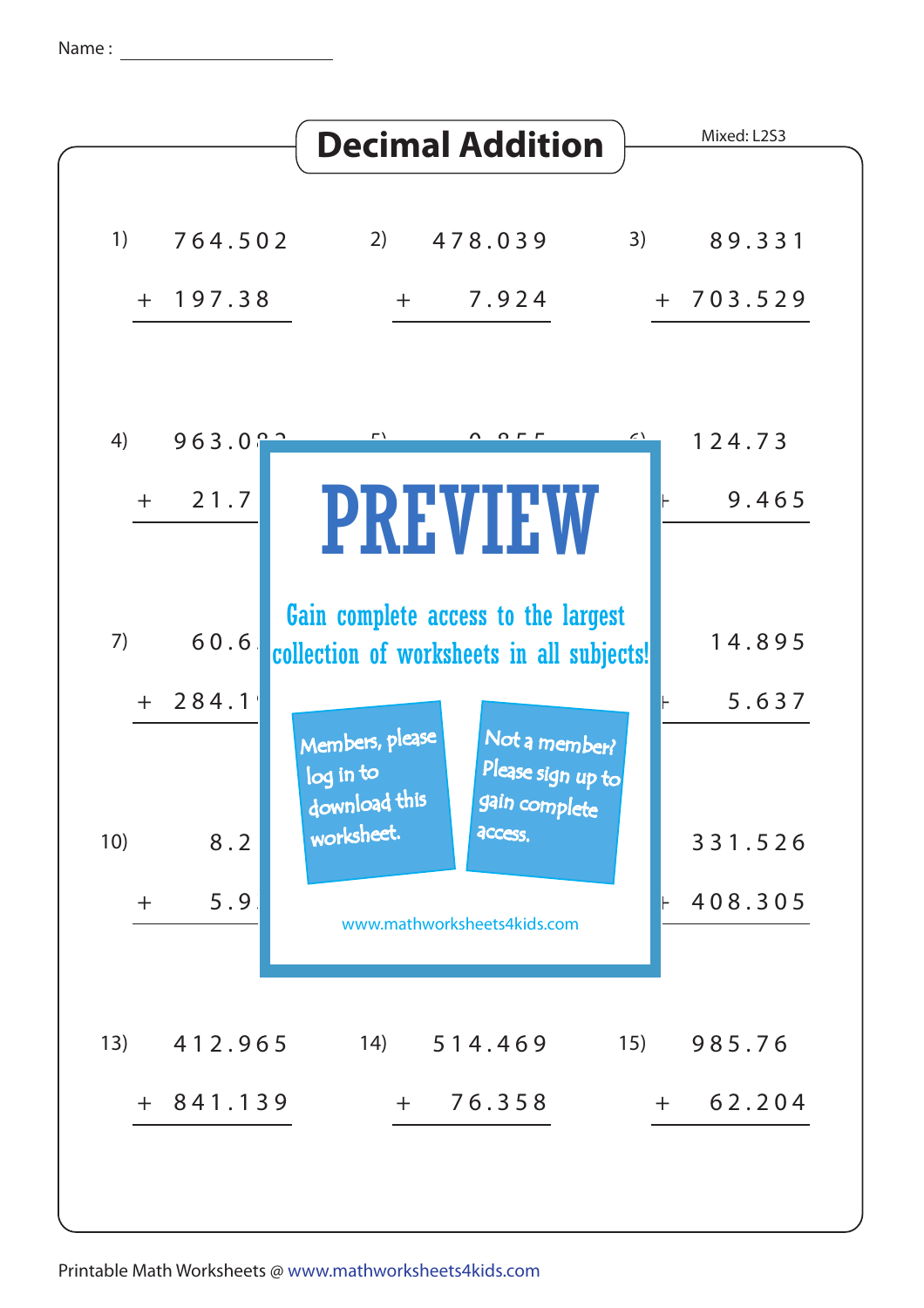